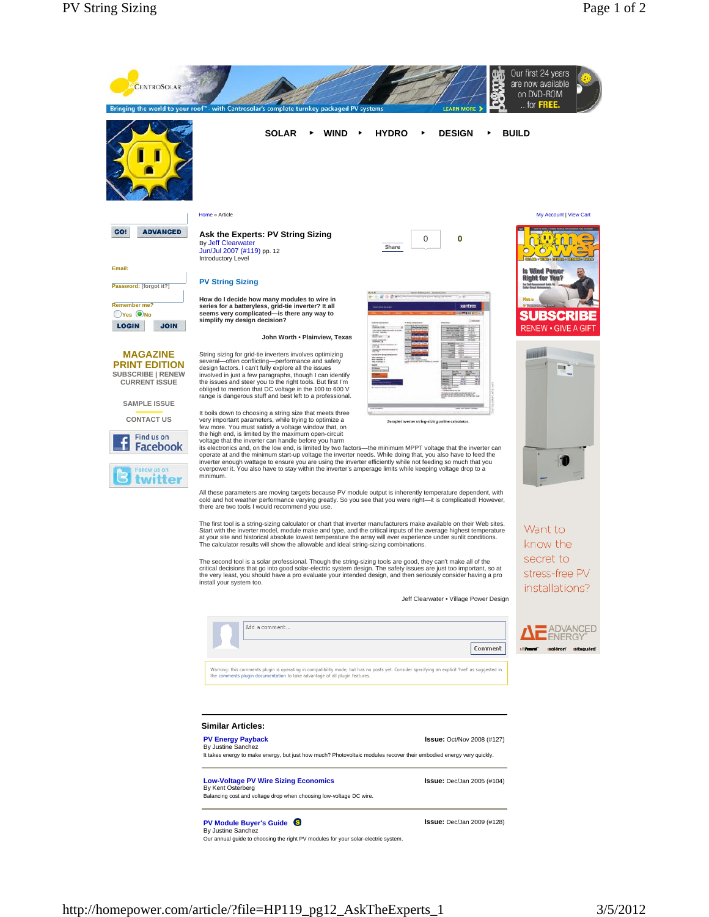